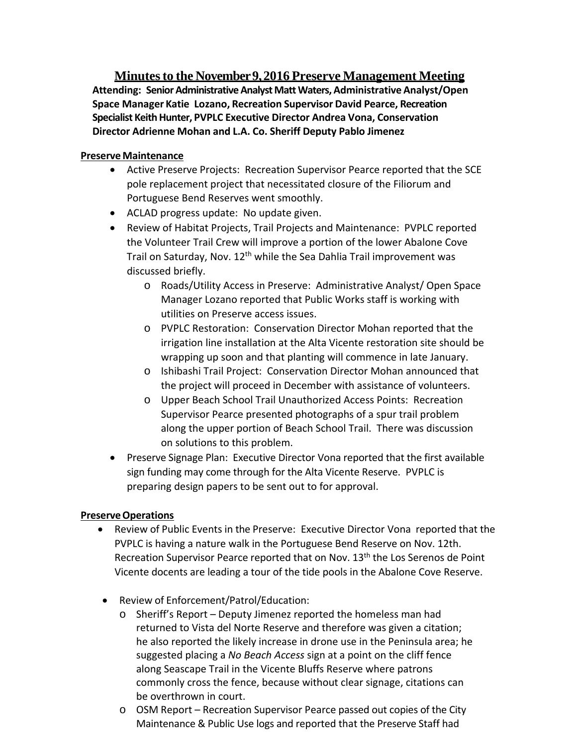**Minutes to the November 9, 2016 Preserve Management Meeting Attending: SeniorAdministrativeAnalystMattWaters,AdministrativeAnalyst/Open Space Manager Katie Lozano, Recreation Supervisor David Pearce, Recreation Specialist KeithHunter, PVPLC Executive Director Andrea Vona, Conservation Director Adrienne Mohan and L.A. Co. Sheriff Deputy Pablo Jimenez**

## **Preserve Maintenance**

- Active Preserve Projects: Recreation Supervisor Pearce reported that the SCE pole replacement project that necessitated closure of the Filiorum and Portuguese Bend Reserves went smoothly.
- ACLAD progress update: No update given.
- Review of Habitat Projects, Trail Projects and Maintenance: PVPLC reported the Volunteer Trail Crew will improve a portion of the lower Abalone Cove Trail on Saturday, Nov. 12<sup>th</sup> while the Sea Dahlia Trail improvement was discussed briefly.
	- o Roads/Utility Access in Preserve: Administrative Analyst/ Open Space Manager Lozano reported that Public Works staff is working with utilities on Preserve access issues.
	- o PVPLC Restoration: Conservation Director Mohan reported that the irrigation line installation at the Alta Vicente restoration site should be wrapping up soon and that planting will commence in late January.
	- o Ishibashi Trail Project: Conservation Director Mohan announced that the project will proceed in December with assistance of volunteers.
	- o Upper Beach School Trail Unauthorized Access Points: Recreation Supervisor Pearce presented photographs of a spur trail problem along the upper portion of Beach School Trail. There was discussion on solutions to this problem.
- Preserve Signage Plan: Executive Director Vona reported that the first available sign funding may come through for the Alta Vicente Reserve. PVPLC is preparing design papers to be sent out to for approval.

## **PreserveOperations**

- Review of Public Events in the Preserve: Executive Director Vona reported that the PVPLC is having a nature walk in the Portuguese Bend Reserve on Nov. 12th. Recreation Supervisor Pearce reported that on Nov. 13<sup>th</sup> the Los Serenos de Point Vicente docents are leading a tour of the tide pools in the Abalone Cove Reserve.
- Review of Enforcement/Patrol/Education:
	- o Sheriff's Report Deputy Jimenez reported the homeless man had returned to Vista del Norte Reserve and therefore was given a citation; he also reported the likely increase in drone use in the Peninsula area; he suggested placing a *No Beach Access* sign at a point on the cliff fence along Seascape Trail in the Vicente Bluffs Reserve where patrons commonly cross the fence, because without clear signage, citations can be overthrown in court.
	- o OSM Report Recreation Supervisor Pearce passed out copies of the City Maintenance & Public Use logs and reported that the Preserve Staff had